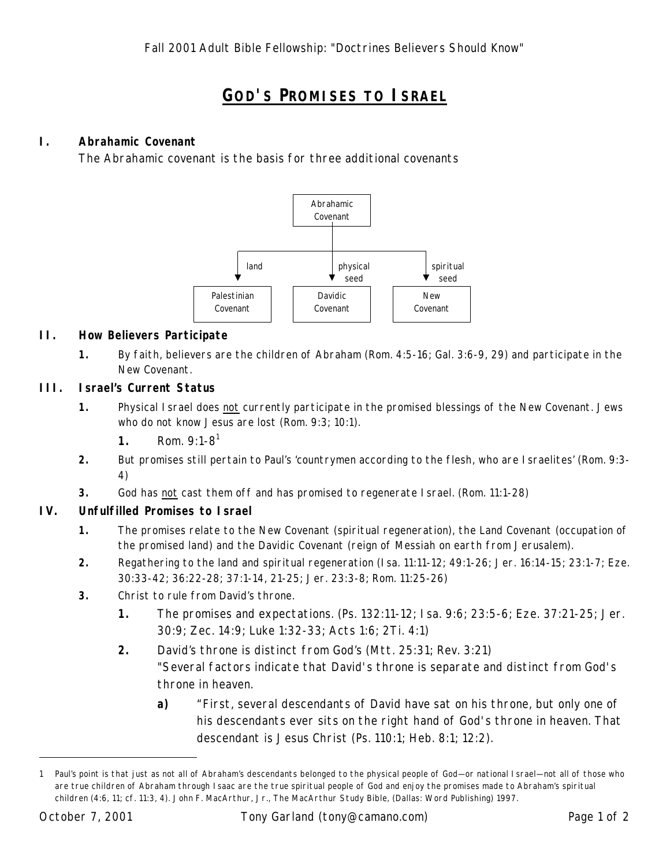# **GOD'S PROMISES TO ISRAEL**

## **I. Abrahamic Covenant**

The Abrahamic covenant is the basis for three additional covenants



#### **II. How Believers Participate**

**1.** By faith, believers are the children of Abraham (Rom. 4:5-16; Gal. 3:6-9, 29) and participate in the New Covenant.

### **III. Israel's Current Status**

- **1.** Physical Israel does not currently participate in the promised blessings of the New Covenant. Jews who do not know Jesus are lost (Rom. 9:3; 10:1).
	- **1.** Rom. 9:1-8<sup>1</sup>
- **2.** But promises still pertain to Paul's 'countrymen according to the flesh, who are Israelites' (Rom. 9:3- 4)
- **3.** God has not cast them off and has promised to regenerate Israel. (Rom. 11:1-28)

## **IV. Unfulfilled Promises to Israel**

- **1.** The promises relate to the New Covenant (spiritual regeneration), the Land Covenant (occupation of the promised land) and the Davidic Covenant (reign of Messiah on earth from Jerusalem).
- **2.** Regathering to the land and spiritual regeneration (Isa. 11:11-12; 49:1-26; Jer. 16:14-15; 23:1-7; Eze. 30:33-42; 36:22-28; 37:1-14, 21-25; Jer. 23:3-8; Rom. 11:25-26)
- **3.** Christ to rule from David's throne.
	- **1.** The promises and expectations. (Ps. 132:11-12; Isa. 9:6; 23:5-6; Eze. 37:21-25; Jer. 30:9; Zec. 14:9; Luke 1:32-33; Acts 1:6; 2Ti. 4:1)
	- **2.** David's throne is distinct from God's (Mtt. 25:31; Rev. 3:21) "Several factors indicate that David's throne is separate and distinct from God's throne in heaven.
		- **a)** "First, several descendants of David have sat on his throne, but only one of his descendants ever sits on the right hand of God's throne in heaven. That descendant is Jesus Christ (Ps. 110:1; Heb. 8:1; 12:2).

l

<sup>1</sup> Paul's point is that just as not all of Abraham's descendants belonged to the physical people of God— or national Israel— not all of those who are true children of Abraham through Isaac are the true spiritual people of God and enjoy the promises made to Abraham's spiritual children (4:6, 11; cf. 11:3, 4). John F. MacArthur, Jr., *The MacArthur Study Bible*, (Dallas: Word Publishing) 1997.